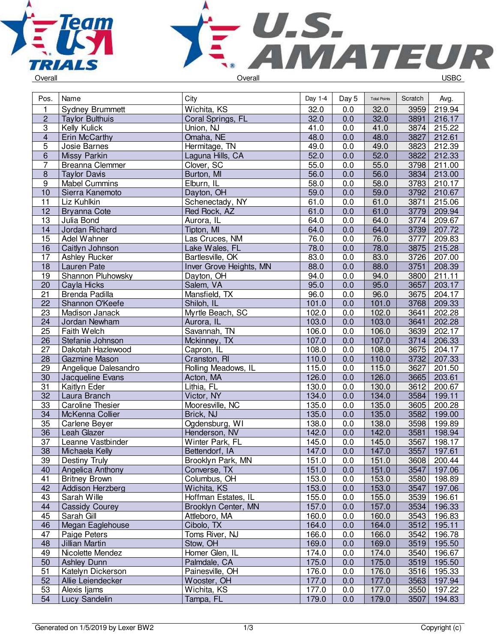



| Pos.           | Name                    | City                    | Day 1-4 | Day 5            | <b>Total Points</b> | Scratch | Avg.   |
|----------------|-------------------------|-------------------------|---------|------------------|---------------------|---------|--------|
| $\mathbf{1}$   | <b>Sydney Brummett</b>  | Wichita, KS             | 32.0    | 0.0              | 32.0                | 3959    | 219.94 |
| $\overline{2}$ | <b>Taylor Bulthuis</b>  | Coral Springs, FL       | 32.0    | 0.0              | 32.0                | 3891    | 216.17 |
| $\overline{3}$ | Kelly Kulick            | Union, NJ               | 41.0    | 0.0              | 41.0                | 3874    | 215.22 |
| $\overline{4}$ | Erin McCarthy           | Omaha, NE               | 48.0    | 0.0              | 48.0                | 3827    | 212.61 |
| $\overline{5}$ | Josie Barnes            | Hermitage, TN           | 49.0    | $0.\overline{0}$ | 49.0                | 3823    | 212.39 |
| 6              | Missy Parkin            | Laguna Hills, CA        | 52.0    | 0.0              | 52.0                | 3822    | 212.33 |
| $\overline{7}$ | Breanna Clemmer         | Clover, SC              | 55.0    | 0.0              | 55.0                | 3798    | 211.00 |
| $\bf 8$        | <b>Taylor Davis</b>     | Burton, MI              | 56.0    | 0.0              | 56.0                | 3834    | 213.00 |
| 9              | <b>Mabel Cummins</b>    | Elburn, IL              | 58.0    | 0.0              | 58.0                | 3783    | 210.17 |
| 10             | Sierra Kanemoto         | Dayton, OH              | 59.0    | 0.0              | 59.0                | 3792    | 210.67 |
| 11             | Liz Kuhlkin             | Schenectady, NY         | 61.0    | 0.0              | 61.0                | 3871    | 215.06 |
| 12             | <b>Bryanna Cote</b>     | Red Rock, AZ            | 61.0    | 0.0              | 61.0                | 3779    | 209.94 |
| 13             | Julia Bond              | Aurora, IL              | 64.0    | 0.0              | 64.0                | 3774    | 209.67 |
| 14             | Jordan Richard          | Tipton, MI              | 64.0    | 0.0              | 64.0                | 3739    | 207.72 |
| 15             | Adel Wahner             | Las Cruces, NM          | 76.0    | 0.0              | 76.0                | 3777    | 209.83 |
| 16             | Caitlyn Johnson         | Lake Wales, FL          | 78.0    | 0.0              | 78.0                | 3875    | 215.28 |
| 17             | Ashley Rucker           | Bartlesville, OK        | 83.0    | 0.0              | 83.0                | 3726    | 207.00 |
| 18             | Lauren Pate             | Inver Grove Heights, MN | 88.0    | 0.0              | 88.0                | 3751    | 208.39 |
| 19             | Shannon Pluhowsky       | Dayton, OH              | 94.0    | 0.0              | 94.0                | 3800    | 211.11 |
| 20             | Cayla Hicks             | Salem, VA               | 95.0    | 0.0              | 95.0                | 3657    | 203.17 |
| 21             | Brenda Padilla          | Mansfield, TX           | 96.0    | 0.0              | 96.0                | 3675    | 204.17 |
| 22             | Shannon O'Keefe         | Shiloh, IL              | 101.0   | 0.0              | 101.0               | 3768    | 209.33 |
| 23             | Madison Janack          | Myrtle Beach, SC        | 102.0   | 0.0              | 102.0               | 3641    | 202.28 |
| 24             | Jordan Newham           | Aurora, IL              | 103.0   | 0.0              | 103.0               | 3641    | 202.28 |
| 25             | Faith Welch             | Savannah, TN            | 106.0   | 0.0              | 106.0               | 3639    | 202.17 |
| 26             | Stefanie Johnson        | Mckinney, TX            | 107.0   | 0.0              | 107.0               | 3714    | 206.33 |
| 27             | Dakotah Hazlewood       | Capron, IL              | 108.0   | 0.0              | 108.0               | 3675    | 204.17 |
| 28             | Gazmine Mason           | Cranston, RI            | 110.0   | 0.0              | 110.0               | $3732$  | 207.33 |
| 29             | Angelique Dalesandro    | Rolling Meadows, IL     | 115.0   | 0.0              | 115.0               | 3627    | 201.50 |
| 30             | Jacqueline Evans        | Acton, MA               | 126.0   | 0.0              | 126.0               | 3665    | 203.61 |
| 31             | Kaitlyn Eder            | Lithia, FL              | 130.0   | 0.0              | 130.0               | 3612    | 200.67 |
| 32             | Laura Branch            | Victor, NY              | 134.0   | 0.0              | 134.0               | 3584    | 199.11 |
| 33             | <b>Caroline Thesier</b> | Mooresville, NC         | 135.0   | 0.0              | 135.0               | 3605    | 200.28 |
| 34             | McKenna Collier         | Brick, NJ               | 135.0   | 0.0              | 135.0               | 3582    | 199.00 |
| 35             | Carlene Beyer           | Ogdensburg, WI          | 138.0   | 0.0              | 138.0               | 3598    | 199.89 |
| 36             | Leah Glazer             | Henderson, NV           | 142.0   | 0.0              | 142.0               | 3581    | 198.94 |
| 37             | Leanne Vastbinder       | Winter Park, FL         | 145.0   | 0.0              | 145.0               | 3567    | 198.17 |
| 38             | Michaela Kelly          | Bettendorf, IA          | 147.0   | 0.0              | 147.0               | 3557    | 197.61 |
| 39             | Destiny Truly           | Brooklyn Park, MN       | 151.0   | 0.0              | 151.0               | 3608    | 200.44 |
| 40             | <b>Angelica Anthony</b> | Converse, TX            | 151.0   | 0.0              | 151.0               | 3547    | 197.06 |
| 41             | <b>Britney Brown</b>    | Columbus, OH            | 153.0   | 0.0              | 153.0               | 3580    | 198.89 |
| 42             | Addison Herzberg        | Wichita, KS             | 153.0   | 0.0              | 153.0               | 3547    | 197.06 |
| 43             | Sarah Wille             | Hoffman Estates, IL     | 155.0   | 0.0              | 155.0               | 3539    | 196.61 |
| 44             | <b>Cassidy Courey</b>   | Brooklyn Center, MN     | 157.0   | 0.0              | 157.0               | 3534    | 196.33 |
| 45             | Sarah Gill              | Attleboro, MA           | 160.0   | 0.0              | 160.0               | 3543    | 196.83 |
| 46             | Megan Eaglehouse        | Cibolo, TX              | 164.0   | 0.0              | 164.0               | 3512    | 195.11 |
| 47             | Paige Peters            | Toms River, NJ          | 166.0   | 0.0              | 166.0               | 3542    | 196.78 |
| 48             | Jillian Martin          | Stow, OH                | 169.0   | 0.0              | 169.0               | 3519    | 195.50 |
| 49             | Nicolette Mendez        | Homer Glen, IL          | 174.0   | 0.0              | 174.0               | 3540    | 196.67 |
| 50             | <b>Ashley Dunn</b>      | Palmdale, CA            | 175.0   | 0.0              | 175.0               | 3519    | 195.50 |
| 51             | Katelyn Dickerson       | Painesville, OH         | 176.0   | 0.0              | 176.0               | 3516    | 195.33 |
| 52             | Allie Leiendecker       | Wooster, OH             | 177.0   | 0.0              | 177.0               | 3563    | 197.94 |
| 53             | Alexis Ijams            | Wichita, KS             | 177.0   | 0.0              | 177.0               | 3550    | 197.22 |
| 54             | Lucy Sandelin           | Tampa, FL               | 179.0   | 0.0              | 179.0               | 3507    | 194.83 |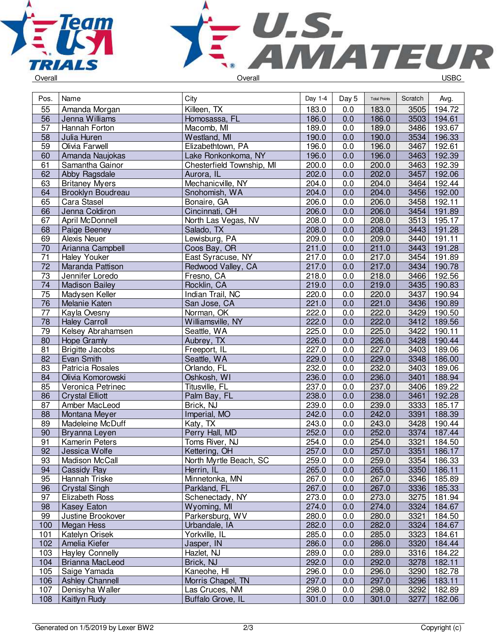



| Pos.            | Name                   | City                             | Day 1-4 | Day 5 | <b>Total Points</b> | Scratch | Avg.        |
|-----------------|------------------------|----------------------------------|---------|-------|---------------------|---------|-------------|
| 55              | Amanda Morgan          | Killeen, TX                      | 183.0   | 0.0   | 183.0               | 3505    | 194.72      |
| 56              | Jenna Williams         | Homosassa, FL                    | 186.0   | 0.0   | 186.0               | 3503    | 194.61      |
| 57              | Hannah Forton          | Macomb, MI                       | 189.0   | 0.0   | 189.0               | 3486    | 193.67      |
| 58              | Julia Huren            | Westland, MI                     | 190.0   | 0.0   | 190.0               | 3534    | 196.33      |
| 59              | Olivia Farwell         | Elizabethtown, PA                | 196.0   | 0.0   | 196.0               | 3467    | 192.61      |
| 60              | Amanda Naujokas        | Lake Ronkonkoma, NY              | 196.0   | 0.0   | 196.0               | 3463    | 192.39      |
| 61              | Samantha Gainor        | Chesterfield Township, MI        | 200.0   | 0.0   | 200.0               | 3463    | 192.39      |
| 62              | Abby Ragsdale          | Aurora, IL                       | 202.0   | 0.0   | 202.0               | 3457    | 192.06      |
| 63              | <b>Britaney Myers</b>  | Mechanicville, NY                | 204.0   | 0.0   | 204.0               | 3464    | 192.44      |
| 64              | Brooklyn Boudreau      | Snohomish, WA                    | 204.0   | 0.0   | 204.0               | 3456    | 192.00      |
| 65              | Cara Stasel            | Bonaire, GA                      | 206.0   | 0.0   | 206.0               | 3458    | 192.11      |
| 66              | Jenna Coldiron         | Cincinnati, OH                   | 206.0   | 0.0   | 206.0               | 3454    | 191.89      |
| 67              | April McDonnell        | North Las Vegas, NV              | 208.0   | 0.0   | 208.0               | 3513    | 195.17      |
| 68              | Paige Beeney           | Salado, TX                       | 208.0   | 0.0   | 208.0               |         | 3443 191.28 |
| 69              | Alexis Neuer           | Lewisburg, PA                    | 209.0   | 0.0   | 209.0               | 3440    | 191.11      |
| 70              | Arianna Campbell       | Coos Bay, OR                     | 211.0   | 0.0   | 211.0               | 3443    | 191.28      |
| $\overline{71}$ | <b>Haley Youker</b>    | East Syracuse, NY                | 217.0   | 0.0   | 217.0               | 3454    | 191.89      |
| $\overline{72}$ | Maranda Pattison       | Redwood Valley, CA               | 217.0   | 0.0   | 217.0               | 3434    | 190.78      |
| 73              | Jennifer Loredo        | Fresno, CA                       | 218.0   | 0.0   | 218.0               | 3466    | 192.56      |
| 74              | <b>Madison Bailey</b>  | Rocklin, CA                      | 219.0   | 0.0   | 219.0               | 3435    | 190.83      |
| 75              | Madysen Keller         | Indian Trail, NC                 | 220.0   | 0.0   | 220.0               | 3437    | 190.94      |
| 76              | Melanie Katen          | San Jose, CA                     | 221.0   | 0.0   | 221.0               | 3436    | 190.89      |
| $\overline{77}$ | Kayla Ovesny           | Norman, OK                       | 222.0   | 0.0   | 222.0               | 3429    | 190.50      |
| $\overline{78}$ | <b>Haley Carroll</b>   | Williamsville, NY                | 222.0   | 0.0   | 222.0               | 3412    | 189.56      |
| 79              | Kelsey Abrahamsen      | Seattle, WA                      | 225.0   | 0.0   | 225.0               | 3422    | 190.11      |
| 80              | Hope Gramly            | Aubrey, TX                       | 226.0   | 0.0   | 226.0               | 3428    | 190.44      |
| 81              | <b>Brigitte Jacobs</b> | Freeport, IL                     | 227.0   | 0.0   | 227.0               | 3403    | 189.06      |
| 82              | Evan Smith             | Seattle, WA                      | 229.0   | 0.0   | 229.0               | 3348    | 186.00      |
| $\overline{83}$ | Patricia Rosales       | Orlando, FL                      | 232.0   | 0.0   | 232.0               | 3403    | 189.06      |
| 84              | Olivia Komorowski      | Oshkosh, WI                      | 236.0   | 0.0   | 236.0               | 3401    | 188.94      |
| 85              | Veronica Petrinec      | Titusville, FL                   | 237.0   | 0.0   | 237.0               | 3406    | 189.22      |
| 86              | <b>Crystal Elliott</b> | Palm Bay, FL                     | 238.0   | 0.0   | 238.0               | 3461    | 192.28      |
| 87              | Amber MacLeod          | Brick, NJ                        | 239.0   | 0.0   | 239.0               | 3333    | 185.17      |
| 88              | Montana Meyer          | Imperial, MO                     | 242.0   | 0.0   | 242.0               | 3391    | 188.39      |
| 89              | Madeleine McDuff       | Katy, TX                         | 243.0   | 0.0   | 243.0               | 3428    | 190.44      |
| 90              | Bryanna Leyen          | Perry Hall, MD                   | 252.0   | 0.0   | 252.0               | 3374    | 187.44      |
| 91              | <b>Kamerin Peters</b>  | Toms River, NJ                   | 254.0   | 0.0   | 254.0               | 3321    | 184.50      |
| $\overline{92}$ | Jessica Wolfe          | Kettering, OH                    | 257.0   | 0.0   | 257.0               | 3351    | 186.17      |
| $\overline{93}$ | <b>Madison McCall</b>  | North Myrtle Beach, SC           | 259.0   | 0.0   | 259.0               | 3354    | 186.33      |
| 94              | Cassidy Ray            | Herrin, IL                       | 265.0   | 0.0   | 265.0               | 3350    | 186.11      |
| 95              | Hannah Triske          | Minnetonka, MN                   | 267.0   | 0.0   | 267.0               | 3346    | 185.89      |
| 96              | <b>Crystal Singh</b>   | Parkland, FL                     | 267.0   | 0.0   | 267.0               | 3336    | 185.33      |
| 97              | Elizabeth Ross         | Schenectady, NY                  | 273.0   | 0.0   | 273.0               | 3275    | 181.94      |
| 98              | Kasey Eaton            | Wyoming, MI                      | 274.0   | 0.0   | 274.0               | 3324    | 184.67      |
| 99              | Justine Brookover      | Parkersburg, WV                  | 280.0   | 0.0   | 280.0               | 3321    | 184.50      |
| 100             | Megan Hess             | Urbandale, IA                    | 282.0   | 0.0   | 282.0               | 3324    | 184.67      |
| 101             | Katelyn Orisek         | Yorkville, IL                    | 285.0   | 0.0   | 285.0               | 3323    | 184.61      |
| 102             | Amelia Kiefer          | Jasper, IN                       | 286.0   | 0.0   | 286.0               | 3320    | 184.44      |
| 103             | <b>Hayley Connelly</b> | Hazlet, NJ                       | 289.0   | 0.0   | 289.0               | 3316    | 184.22      |
| 104             | <b>Brianna MacLeod</b> | Brick, NJ                        | 292.0   | 0.0   | 292.0               | 3278    | 182.11      |
| 105             | Saige Yamada           |                                  | 296.0   | 0.0   | 296.0               | 3290    | 182.78      |
| 106             | <b>Ashley Channell</b> | Kaneohe, HI<br>Morris Chapel, TN | 297.0   | 0.0   | 297.0               | 3296    | 183.11      |
| 107             | Denisyha Waller        | Las Cruces, NM                   | 298.0   | 0.0   | 298.0               | 3292    | 182.89      |
| 108             | Kaitlyn Rudy           | Buffalo Grove, IL                | 301.0   | 0.0   | 301.0               | 3277    | 182.06      |
|                 |                        |                                  |         |       |                     |         |             |